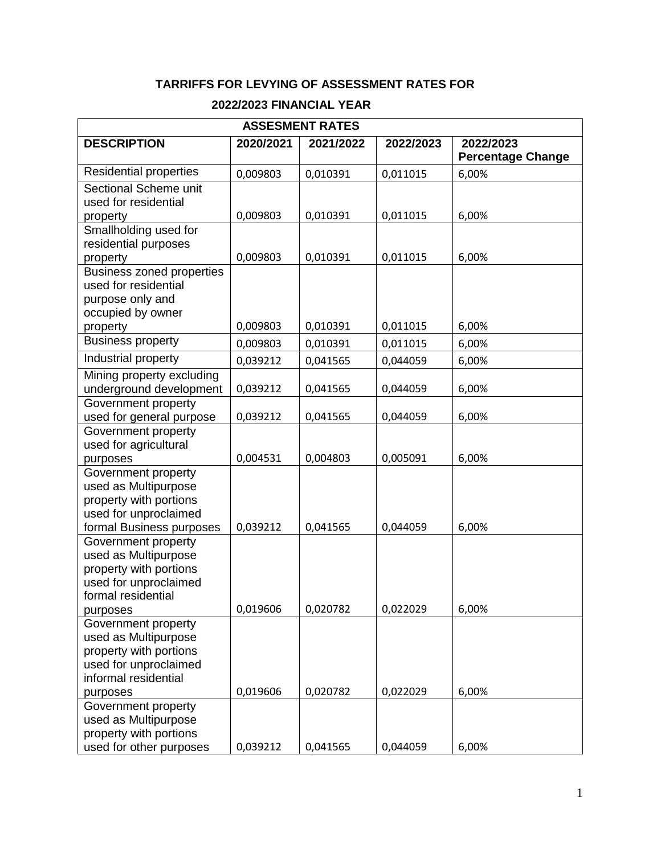## **TARRIFFS FOR LEVYING OF ASSESSMENT RATES FOR**

## **2022/2023 FINANCIAL YEAR**

| <b>ASSESMENT RATES</b>                         |           |           |           |                                       |  |
|------------------------------------------------|-----------|-----------|-----------|---------------------------------------|--|
| <b>DESCRIPTION</b>                             | 2020/2021 | 2021/2022 | 2022/2023 | 2022/2023<br><b>Percentage Change</b> |  |
| <b>Residential properties</b>                  | 0,009803  | 0,010391  | 0,011015  | 6,00%                                 |  |
| Sectional Scheme unit                          |           |           |           |                                       |  |
| used for residential                           |           |           |           |                                       |  |
| property                                       | 0,009803  | 0,010391  | 0,011015  | 6,00%                                 |  |
| Smallholding used for                          |           |           |           |                                       |  |
| residential purposes                           | 0,009803  | 0,010391  | 0,011015  | 6,00%                                 |  |
| property<br><b>Business zoned properties</b>   |           |           |           |                                       |  |
| used for residential                           |           |           |           |                                       |  |
| purpose only and                               |           |           |           |                                       |  |
| occupied by owner                              |           |           |           |                                       |  |
| property                                       | 0,009803  | 0,010391  | 0,011015  | 6,00%                                 |  |
| <b>Business property</b>                       | 0,009803  | 0,010391  | 0,011015  | 6,00%                                 |  |
| Industrial property                            | 0,039212  | 0,041565  | 0,044059  | 6,00%                                 |  |
| Mining property excluding                      |           |           |           |                                       |  |
| underground development                        | 0,039212  | 0,041565  | 0,044059  | 6,00%                                 |  |
| Government property                            |           |           |           |                                       |  |
| used for general purpose                       | 0,039212  | 0,041565  | 0,044059  | 6,00%                                 |  |
| Government property                            |           |           |           |                                       |  |
| used for agricultural                          | 0,004531  | 0,004803  | 0,005091  | 6,00%                                 |  |
| purposes<br>Government property                |           |           |           |                                       |  |
| used as Multipurpose                           |           |           |           |                                       |  |
| property with portions                         |           |           |           |                                       |  |
| used for unproclaimed                          |           |           |           |                                       |  |
| formal Business purposes                       | 0,039212  | 0,041565  | 0,044059  | 6,00%                                 |  |
| Government property                            |           |           |           |                                       |  |
| used as Multipurpose                           |           |           |           |                                       |  |
| property with portions                         |           |           |           |                                       |  |
| used for unproclaimed                          |           |           |           |                                       |  |
| formal residential<br>purposes                 | 0,019606  | 0,020782  | 0,022029  | 6,00%                                 |  |
| Government property                            |           |           |           |                                       |  |
| used as Multipurpose                           |           |           |           |                                       |  |
| property with portions                         |           |           |           |                                       |  |
| used for unproclaimed                          |           |           |           |                                       |  |
| informal residential                           |           |           |           |                                       |  |
| purposes                                       | 0,019606  | 0,020782  | 0,022029  | 6,00%                                 |  |
| Government property                            |           |           |           |                                       |  |
| used as Multipurpose<br>property with portions |           |           |           |                                       |  |
| used for other purposes                        | 0,039212  | 0,041565  | 0,044059  | 6,00%                                 |  |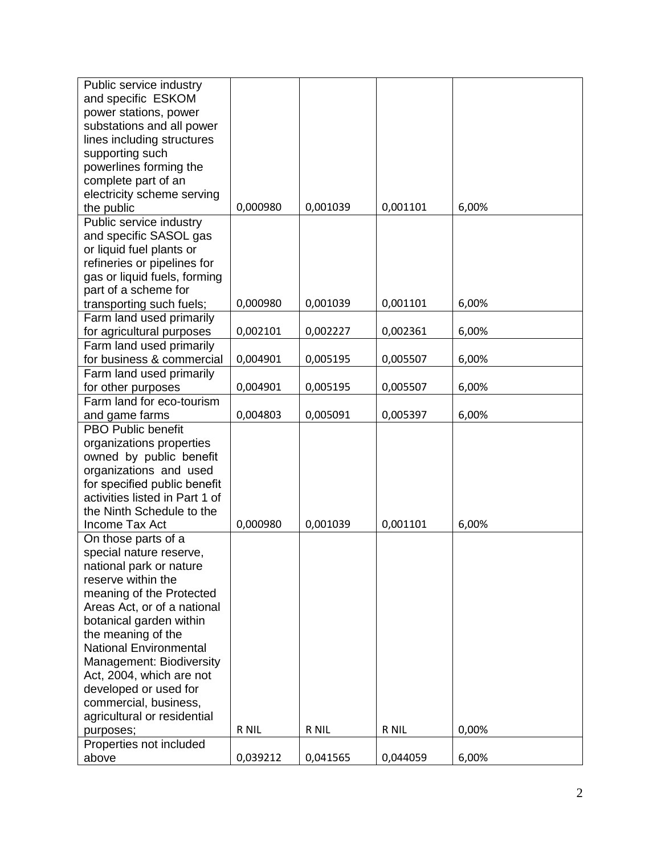| Public service industry        |          |          |          |       |
|--------------------------------|----------|----------|----------|-------|
| and specific ESKOM             |          |          |          |       |
| power stations, power          |          |          |          |       |
| substations and all power      |          |          |          |       |
| lines including structures     |          |          |          |       |
| supporting such                |          |          |          |       |
| powerlines forming the         |          |          |          |       |
| complete part of an            |          |          |          |       |
| electricity scheme serving     |          |          |          |       |
| the public                     | 0,000980 | 0,001039 | 0,001101 | 6,00% |
| Public service industry        |          |          |          |       |
| and specific SASOL gas         |          |          |          |       |
| or liquid fuel plants or       |          |          |          |       |
| refineries or pipelines for    |          |          |          |       |
| gas or liquid fuels, forming   |          |          |          |       |
| part of a scheme for           |          |          |          |       |
| transporting such fuels;       | 0,000980 | 0,001039 | 0,001101 | 6,00% |
| Farm land used primarily       |          |          |          |       |
| for agricultural purposes      | 0,002101 | 0,002227 | 0,002361 | 6,00% |
| Farm land used primarily       |          |          |          |       |
| for business & commercial      | 0,004901 | 0,005195 | 0,005507 | 6,00% |
| Farm land used primarily       |          |          |          |       |
| for other purposes             | 0,004901 | 0,005195 | 0,005507 | 6,00% |
| Farm land for eco-tourism      |          |          |          |       |
| and game farms                 | 0,004803 | 0,005091 | 0,005397 | 6,00% |
| <b>PBO Public benefit</b>      |          |          |          |       |
| organizations properties       |          |          |          |       |
| owned by public benefit        |          |          |          |       |
| organizations and used         |          |          |          |       |
| for specified public benefit   |          |          |          |       |
| activities listed in Part 1 of |          |          |          |       |
| the Ninth Schedule to the      |          |          |          |       |
| Income Tax Act                 | 0,000980 | 0,001039 | 0,001101 | 6,00% |
| On those parts of a            |          |          |          |       |
| special nature reserve,        |          |          |          |       |
| national park or nature        |          |          |          |       |
| reserve within the             |          |          |          |       |
| meaning of the Protected       |          |          |          |       |
| Areas Act, or of a national    |          |          |          |       |
| botanical garden within        |          |          |          |       |
| the meaning of the             |          |          |          |       |
| <b>National Environmental</b>  |          |          |          |       |
| Management: Biodiversity       |          |          |          |       |
| Act, 2004, which are not       |          |          |          |       |
| developed or used for          |          |          |          |       |
| commercial, business,          |          |          |          |       |
| agricultural or residential    |          |          |          |       |
| purposes;                      | R NIL    | R NIL    | R NIL    | 0,00% |
| Properties not included        |          |          |          |       |
| above                          | 0,039212 | 0,041565 | 0,044059 | 6,00% |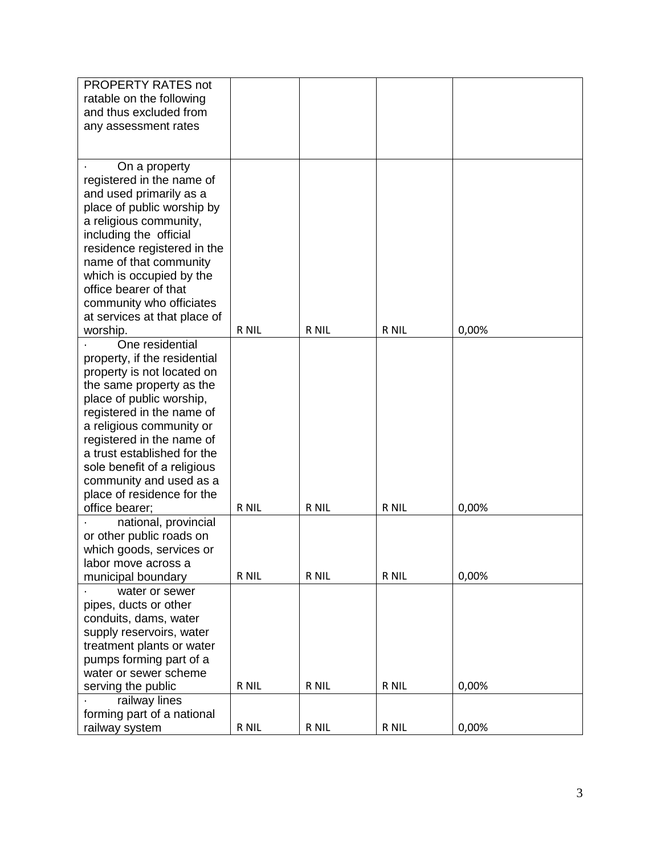| PROPERTY RATES not           |       |       |       |       |
|------------------------------|-------|-------|-------|-------|
| ratable on the following     |       |       |       |       |
| and thus excluded from       |       |       |       |       |
| any assessment rates         |       |       |       |       |
|                              |       |       |       |       |
|                              |       |       |       |       |
| On a property                |       |       |       |       |
| registered in the name of    |       |       |       |       |
| and used primarily as a      |       |       |       |       |
| place of public worship by   |       |       |       |       |
| a religious community,       |       |       |       |       |
| including the official       |       |       |       |       |
| residence registered in the  |       |       |       |       |
| name of that community       |       |       |       |       |
| which is occupied by the     |       |       |       |       |
| office bearer of that        |       |       |       |       |
| community who officiates     |       |       |       |       |
| at services at that place of |       |       |       |       |
| worship.                     | R NIL | R NIL | R NIL | 0,00% |
| One residential              |       |       |       |       |
| property, if the residential |       |       |       |       |
| property is not located on   |       |       |       |       |
| the same property as the     |       |       |       |       |
| place of public worship,     |       |       |       |       |
| registered in the name of    |       |       |       |       |
| a religious community or     |       |       |       |       |
| registered in the name of    |       |       |       |       |
| a trust established for the  |       |       |       |       |
| sole benefit of a religious  |       |       |       |       |
| community and used as a      |       |       |       |       |
| place of residence for the   |       |       |       |       |
| office bearer;               | R NIL | R NIL | R NIL | 0,00% |
| national, provincial         |       |       |       |       |
| or other public roads on     |       |       |       |       |
| which goods, services or     |       |       |       |       |
| labor move across a          |       |       |       |       |
| municipal boundary           | R NIL | R NIL | R NIL | 0,00% |
| water or sewer               |       |       |       |       |
| pipes, ducts or other        |       |       |       |       |
| conduits, dams, water        |       |       |       |       |
| supply reservoirs, water     |       |       |       |       |
| treatment plants or water    |       |       |       |       |
| pumps forming part of a      |       |       |       |       |
| water or sewer scheme        |       |       |       |       |
| serving the public           | R NIL | R NIL | R NIL | 0,00% |
| railway lines                |       |       |       |       |
| forming part of a national   |       |       |       |       |
| railway system               | R NIL | R NIL | R NIL | 0,00% |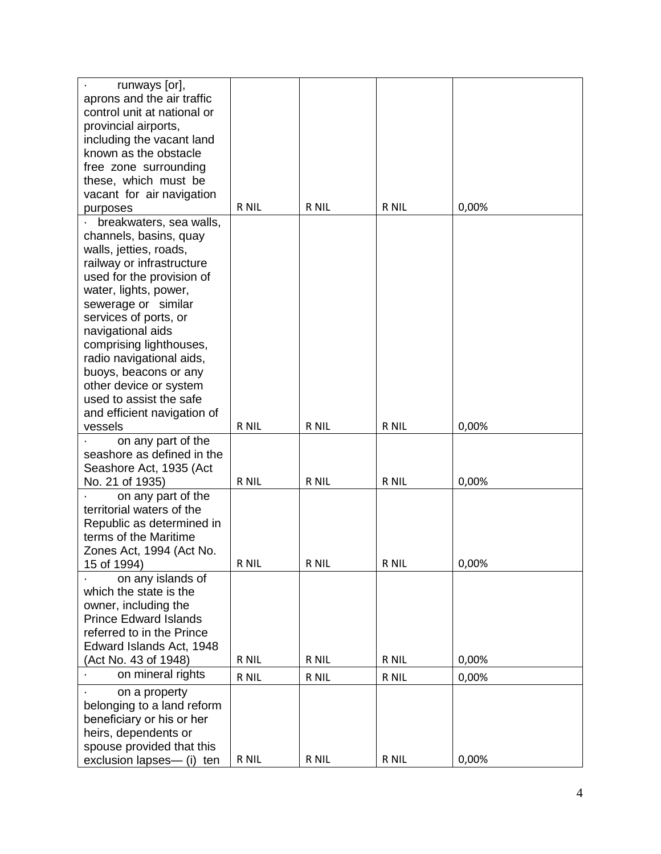| runways [or],<br>aprons and the air traffic |       |       |       |       |
|---------------------------------------------|-------|-------|-------|-------|
| control unit at national or                 |       |       |       |       |
| provincial airports,                        |       |       |       |       |
| including the vacant land                   |       |       |       |       |
| known as the obstacle                       |       |       |       |       |
| free zone surrounding                       |       |       |       |       |
| these, which must be                        |       |       |       |       |
| vacant for air navigation                   |       |       |       |       |
| purposes                                    | R NIL | R NIL | R NIL | 0,00% |
| breakwaters, sea walls,                     |       |       |       |       |
| channels, basins, quay                      |       |       |       |       |
| walls, jetties, roads,                      |       |       |       |       |
| railway or infrastructure                   |       |       |       |       |
| used for the provision of                   |       |       |       |       |
| water, lights, power,                       |       |       |       |       |
| sewerage or similar                         |       |       |       |       |
| services of ports, or<br>navigational aids  |       |       |       |       |
| comprising lighthouses,                     |       |       |       |       |
| radio navigational aids,                    |       |       |       |       |
| buoys, beacons or any                       |       |       |       |       |
| other device or system                      |       |       |       |       |
| used to assist the safe                     |       |       |       |       |
| and efficient navigation of                 |       |       |       |       |
| vessels                                     | R NIL | R NIL | R NIL | 0,00% |
| on any part of the                          |       |       |       |       |
| seashore as defined in the                  |       |       |       |       |
| Seashore Act, 1935 (Act                     |       |       |       |       |
| No. 21 of 1935)                             | R NIL | R NIL | R NIL | 0,00% |
| on any part of the                          |       |       |       |       |
| territorial waters of the                   |       |       |       |       |
| Republic as determined in                   |       |       |       |       |
| terms of the Maritime                       |       |       |       |       |
| Zones Act, 1994 (Act No.                    |       |       |       |       |
| 15 of 1994)                                 | r nil | r nil | r nil | 0,00% |
| on any islands of<br>which the state is the |       |       |       |       |
| owner, including the                        |       |       |       |       |
| <b>Prince Edward Islands</b>                |       |       |       |       |
| referred to in the Prince                   |       |       |       |       |
| Edward Islands Act, 1948                    |       |       |       |       |
| (Act No. 43 of 1948)                        | R NIL | R NIL | R NIL | 0,00% |
| on mineral rights                           | R NIL | R NIL | R NIL | 0,00% |
| on a property                               |       |       |       |       |
| belonging to a land reform                  |       |       |       |       |
| beneficiary or his or her                   |       |       |       |       |
| heirs, dependents or                        |       |       |       |       |
| spouse provided that this                   |       |       |       |       |
| exclusion lapses-(i) ten                    | R NIL | R NIL | R NIL | 0,00% |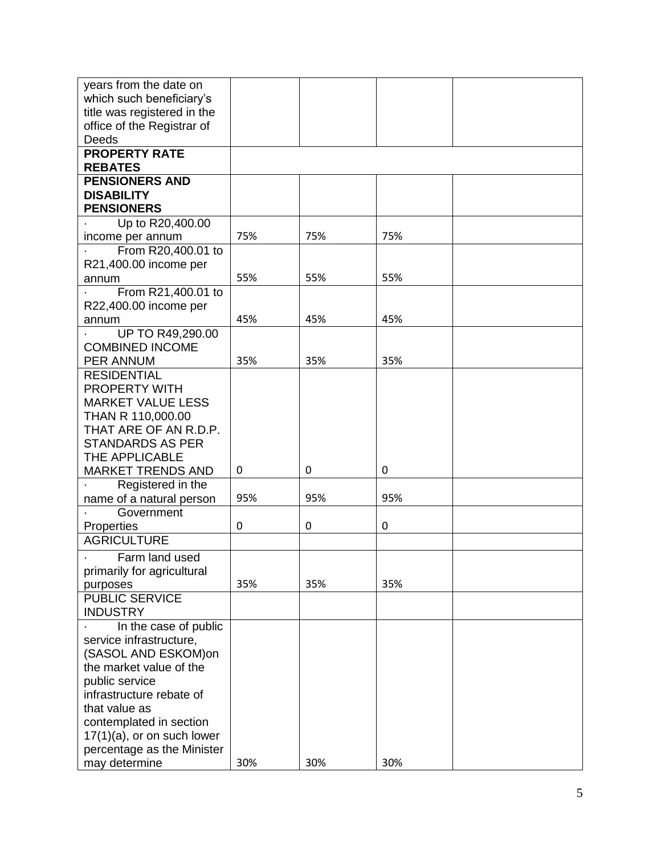| years from the date on        |     |     |     |  |
|-------------------------------|-----|-----|-----|--|
| which such beneficiary's      |     |     |     |  |
| title was registered in the   |     |     |     |  |
| office of the Registrar of    |     |     |     |  |
| <b>Deeds</b>                  |     |     |     |  |
| <b>PROPERTY RATE</b>          |     |     |     |  |
| <b>REBATES</b>                |     |     |     |  |
| <b>PENSIONERS AND</b>         |     |     |     |  |
| <b>DISABILITY</b>             |     |     |     |  |
| <b>PENSIONERS</b>             |     |     |     |  |
| Up to R20,400.00              |     |     |     |  |
| income per annum              | 75% | 75% | 75% |  |
| From R20,400.01 to            |     |     |     |  |
| R21,400.00 income per         |     |     |     |  |
| annum                         | 55% | 55% | 55% |  |
| From R21,400.01 to            |     |     |     |  |
| R22,400.00 income per         |     |     |     |  |
| annum                         | 45% | 45% | 45% |  |
| UP TO R49,290.00              |     |     |     |  |
| <b>COMBINED INCOME</b>        |     |     |     |  |
| PER ANNUM                     | 35% | 35% | 35% |  |
| <b>RESIDENTIAL</b>            |     |     |     |  |
| <b>PROPERTY WITH</b>          |     |     |     |  |
| <b>MARKET VALUE LESS</b>      |     |     |     |  |
| THAN R 110,000.00             |     |     |     |  |
| THAT ARE OF AN R.D.P.         |     |     |     |  |
| <b>STANDARDS AS PER</b>       |     |     |     |  |
| THE APPLICABLE                |     |     |     |  |
| <b>MARKET TRENDS AND</b>      | 0   | 0   | 0   |  |
| Registered in the             |     |     |     |  |
| name of a natural person      | 95% | 95% | 95% |  |
| Government                    |     |     |     |  |
| Properties                    | 0   | 0   | 0   |  |
| <b>AGRICULTURE</b>            |     |     |     |  |
| Farm land used                |     |     |     |  |
| primarily for agricultural    |     |     |     |  |
| purposes                      | 35% | 35% | 35% |  |
| <b>PUBLIC SERVICE</b>         |     |     |     |  |
| <b>INDUSTRY</b>               |     |     |     |  |
| In the case of public         |     |     |     |  |
| service infrastructure,       |     |     |     |  |
| (SASOL AND ESKOM)on           |     |     |     |  |
| the market value of the       |     |     |     |  |
| public service                |     |     |     |  |
| infrastructure rebate of      |     |     |     |  |
| that value as                 |     |     |     |  |
| contemplated in section       |     |     |     |  |
| $17(1)(a)$ , or on such lower |     |     |     |  |
| percentage as the Minister    |     |     |     |  |
| may determine                 | 30% | 30% | 30% |  |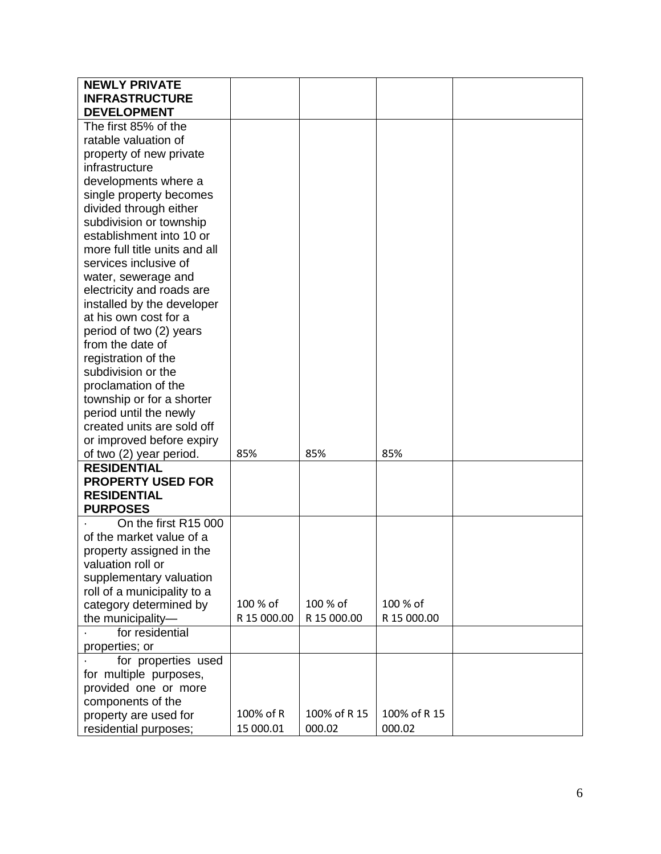| <b>NEWLY PRIVATE</b>          |             |              |              |  |
|-------------------------------|-------------|--------------|--------------|--|
| <b>INFRASTRUCTURE</b>         |             |              |              |  |
| <b>DEVELOPMENT</b>            |             |              |              |  |
| The first 85% of the          |             |              |              |  |
| ratable valuation of          |             |              |              |  |
| property of new private       |             |              |              |  |
| infrastructure                |             |              |              |  |
| developments where a          |             |              |              |  |
| single property becomes       |             |              |              |  |
| divided through either        |             |              |              |  |
| subdivision or township       |             |              |              |  |
| establishment into 10 or      |             |              |              |  |
| more full title units and all |             |              |              |  |
| services inclusive of         |             |              |              |  |
| water, sewerage and           |             |              |              |  |
| electricity and roads are     |             |              |              |  |
| installed by the developer    |             |              |              |  |
| at his own cost for a         |             |              |              |  |
| period of two (2) years       |             |              |              |  |
| from the date of              |             |              |              |  |
| registration of the           |             |              |              |  |
| subdivision or the            |             |              |              |  |
| proclamation of the           |             |              |              |  |
| township or for a shorter     |             |              |              |  |
| period until the newly        |             |              |              |  |
| created units are sold off    |             |              |              |  |
| or improved before expiry     |             |              |              |  |
| of two (2) year period.       | 85%         | 85%          | 85%          |  |
| <b>RESIDENTIAL</b>            |             |              |              |  |
| <b>PROPERTY USED FOR</b>      |             |              |              |  |
| <b>RESIDENTIAL</b>            |             |              |              |  |
| <b>PURPOSES</b>               |             |              |              |  |
| On the first R15 000          |             |              |              |  |
| of the market value of a      |             |              |              |  |
| property assigned in the      |             |              |              |  |
| valuation roll or             |             |              |              |  |
| supplementary valuation       |             |              |              |  |
| roll of a municipality to a   |             |              |              |  |
| category determined by        | 100 % of    | 100 % of     | 100 % of     |  |
| the municipality-             | R 15 000.00 | R 15 000.00  | R 15 000.00  |  |
| for residential               |             |              |              |  |
| properties; or                |             |              |              |  |
| for properties used           |             |              |              |  |
| for multiple purposes,        |             |              |              |  |
| provided one or more          |             |              |              |  |
| components of the             |             |              |              |  |
| property are used for         | 100% of R   | 100% of R 15 | 100% of R 15 |  |
| residential purposes;         | 15 000.01   | 000.02       | 000.02       |  |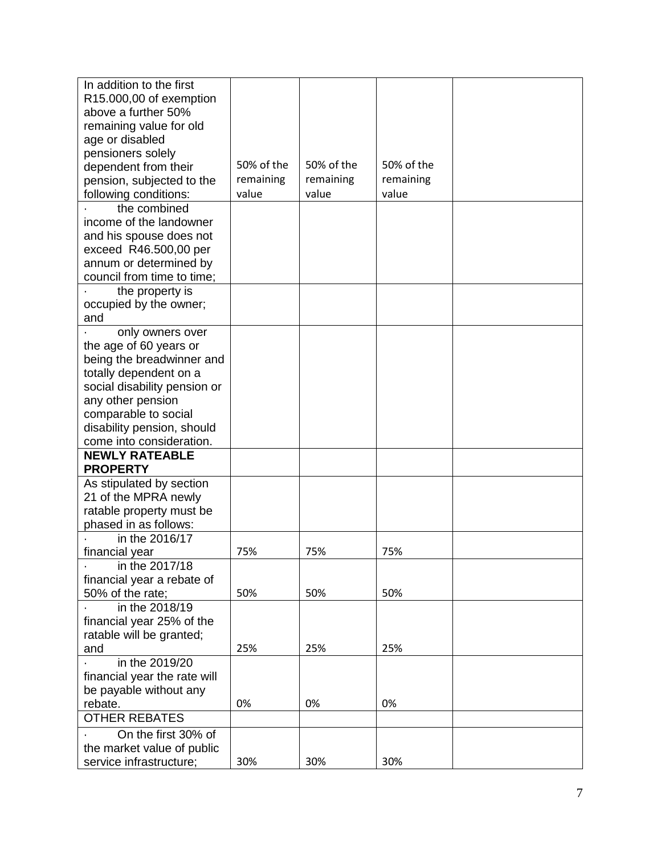| In addition to the first     |            |            |            |  |
|------------------------------|------------|------------|------------|--|
| R15.000,00 of exemption      |            |            |            |  |
| above a further 50%          |            |            |            |  |
| remaining value for old      |            |            |            |  |
| age or disabled              |            |            |            |  |
| pensioners solely            |            |            |            |  |
| dependent from their         | 50% of the | 50% of the | 50% of the |  |
| pension, subjected to the    | remaining  | remaining  | remaining  |  |
| following conditions:        | value      | value      | value      |  |
| the combined                 |            |            |            |  |
| income of the landowner      |            |            |            |  |
| and his spouse does not      |            |            |            |  |
| exceed R46.500,00 per        |            |            |            |  |
| annum or determined by       |            |            |            |  |
| council from time to time;   |            |            |            |  |
| the property is              |            |            |            |  |
| occupied by the owner;       |            |            |            |  |
| and                          |            |            |            |  |
| only owners over             |            |            |            |  |
| the age of 60 years or       |            |            |            |  |
| being the breadwinner and    |            |            |            |  |
| totally dependent on a       |            |            |            |  |
| social disability pension or |            |            |            |  |
| any other pension            |            |            |            |  |
| comparable to social         |            |            |            |  |
| disability pension, should   |            |            |            |  |
| come into consideration.     |            |            |            |  |
| <b>NEWLY RATEABLE</b>        |            |            |            |  |
| <b>PROPERTY</b>              |            |            |            |  |
| As stipulated by section     |            |            |            |  |
| 21 of the MPRA newly         |            |            |            |  |
| ratable property must be     |            |            |            |  |
| phased in as follows:        |            |            |            |  |
| in the 2016/17               |            |            |            |  |
| financial year               | 75%        | 75%        | 75%        |  |
| in the 2017/18               |            |            |            |  |
| financial year a rebate of   |            |            |            |  |
| 50% of the rate;             | 50%        | 50%        | 50%        |  |
| in the 2018/19               |            |            |            |  |
| financial year 25% of the    |            |            |            |  |
| ratable will be granted;     |            |            |            |  |
| and                          | 25%        | 25%        | 25%        |  |
| in the 2019/20               |            |            |            |  |
| financial year the rate will |            |            |            |  |
| be payable without any       |            |            |            |  |
| rebate.                      | 0%         | 0%         | 0%         |  |
| <b>OTHER REBATES</b>         |            |            |            |  |
| On the first 30% of          |            |            |            |  |
| the market value of public   |            |            |            |  |
| service infrastructure;      | 30%        | 30%        | 30%        |  |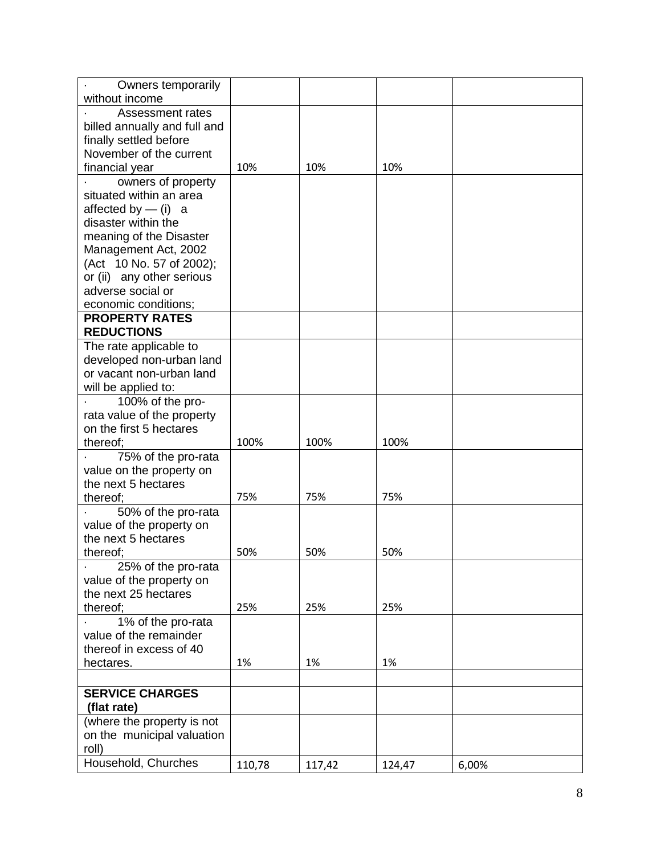| Owners temporarily<br>without income             |        |        |        |       |
|--------------------------------------------------|--------|--------|--------|-------|
| <b>Assessment rates</b>                          |        |        |        |       |
| billed annually and full and                     |        |        |        |       |
| finally settled before                           |        |        |        |       |
| November of the current                          |        |        |        |       |
| financial year                                   | 10%    | 10%    | 10%    |       |
| owners of property                               |        |        |        |       |
| situated within an area                          |        |        |        |       |
| affected by $-$ (i) a                            |        |        |        |       |
| disaster within the                              |        |        |        |       |
| meaning of the Disaster<br>Management Act, 2002  |        |        |        |       |
| (Act 10 No. 57 of 2002);                         |        |        |        |       |
| or (ii) any other serious                        |        |        |        |       |
| adverse social or                                |        |        |        |       |
| economic conditions;                             |        |        |        |       |
| <b>PROPERTY RATES</b>                            |        |        |        |       |
| <b>REDUCTIONS</b>                                |        |        |        |       |
| The rate applicable to                           |        |        |        |       |
| developed non-urban land                         |        |        |        |       |
| or vacant non-urban land                         |        |        |        |       |
| will be applied to:                              |        |        |        |       |
| 100% of the pro-<br>rata value of the property   |        |        |        |       |
| on the first 5 hectares                          |        |        |        |       |
| thereof;                                         | 100%   | 100%   | 100%   |       |
| 75% of the pro-rata                              |        |        |        |       |
| value on the property on                         |        |        |        |       |
| the next 5 hectares                              |        |        |        |       |
| thereof;                                         | 75%    | 75%    | 75%    |       |
| 50% of the pro-rata                              |        |        |        |       |
| value of the property on                         |        |        |        |       |
| the next 5 hectares                              |        |        |        |       |
| thereof:                                         | 50%    | 50%    | 50%    |       |
| 25% of the pro-rata                              |        |        |        |       |
| value of the property on<br>the next 25 hectares |        |        |        |       |
| thereof:                                         | 25%    | 25%    | 25%    |       |
| 1% of the pro-rata                               |        |        |        |       |
| value of the remainder                           |        |        |        |       |
| thereof in excess of 40                          |        |        |        |       |
| hectares.                                        | 1%     | 1%     | 1%     |       |
|                                                  |        |        |        |       |
| <b>SERVICE CHARGES</b><br>(flat rate)            |        |        |        |       |
| (where the property is not                       |        |        |        |       |
| on the municipal valuation                       |        |        |        |       |
| roll)                                            |        |        |        |       |
| Household, Churches                              | 110,78 | 117,42 | 124,47 | 6,00% |